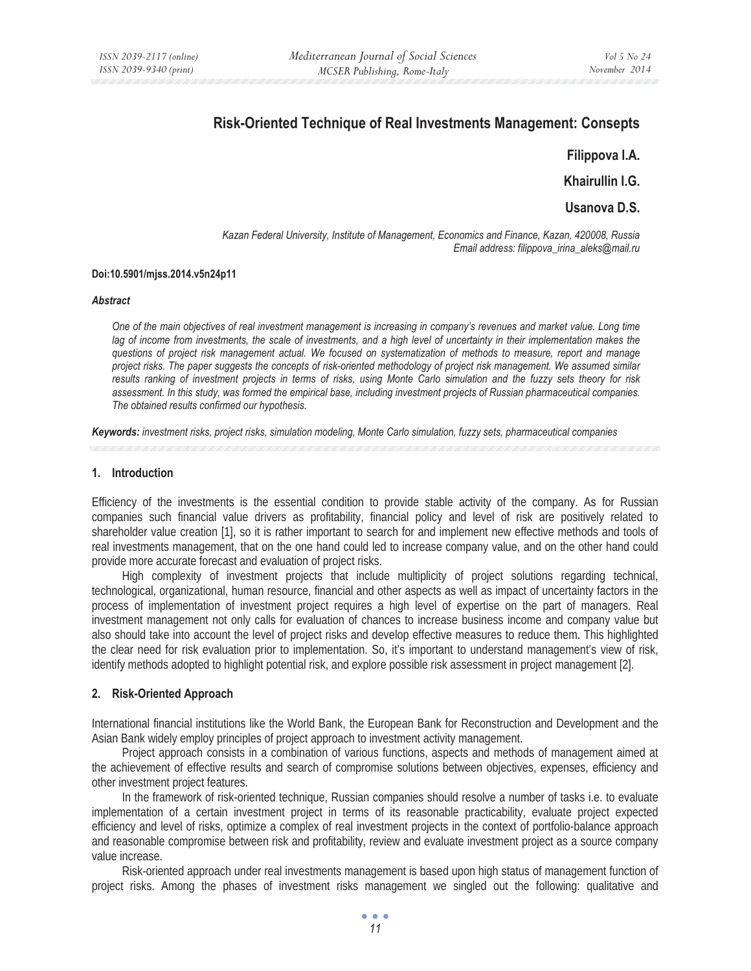# **Risk-Oriented Technique of Real Investments Management: Consepts**

**Filippova I.A.** 

**Khairullin I.G.** 

**Usanova D.S.**

*Kazan Federal University, Institute of Management, Economics and Finance, Kazan, 420008, Russia Email address: filippova\_irina\_aleks@mail.ru* 

#### **Doi:10.5901/mjss.2014.v5n24p11**

#### *Abstract*

*One of the main objectives of real investment management is increasing in company's revenues and market value. Long time*  lag of income from investments, the scale of investments, and a high level of uncertainty in their implementation makes the *questions of project risk management actual. We focused on systematization of methods to measure, report and manage project risks. The paper suggests the concepts of risk-oriented methodology of project risk management. We assumed similar results ranking of investment projects in terms of risks, using Monte Carlo simulation and the fuzzy sets theory for risk assessment. In this study, was formed the empirical base, including investment projects of Russian pharmaceutical companies. The obtained results confirmed our hypothesis.* 

*Keywords: investment risks, project risks, simulation modeling, Monte Carlo simulation, fuzzy sets, pharmaceutical companies* 

#### **1. Introduction**

Efficiency of the investments is the essential condition to provide stable activity of the company. As for Russian companies such financial value drivers as profitability, financial policy and level of risk are positively related to shareholder value creation [1], so it is rather important to search for and implement new effective methods and tools of real investments management, that on the one hand could led to increase company value, and on the other hand could provide more accurate forecast and evaluation of project risks.

High complexity of investment projects that include multiplicity of project solutions regarding technical, technological, organizational, human resource, financial and other aspects as well as impact of uncertainty factors in the process of implementation of investment project requires a high level of expertise on the part of managers. Real investment management not only calls for evaluation of chances to increase business income and company value but also should take into account the level of project risks and develop effective measures to reduce them. This highlighted the clear need for risk evaluation prior to implementation. So, it's important to understand management's view of risk, identify methods adopted to highlight potential risk, and explore possible risk assessment in project management [2].

#### **2. Risk-Oriented Approach**

International financial institutions like the World Bank, the European Bank for Reconstruction and Development and the Asian Bank widely employ principles of project approach to investment activity management.

Project approach consists in a combination of various functions, aspects and methods of management aimed at the achievement of effective results and search of compromise solutions between objectives, expenses, efficiency and other investment project features.

In the framework of risk-oriented technique, Russian companies should resolve a number of tasks i.e. to evaluate implementation of a certain investment project in terms of its reasonable practicability, evaluate project expected efficiency and level of risks, optimize a complex of real investment projects in the context of portfolio-balance approach and reasonable compromise between risk and profitability, review and evaluate investment project as a source company value increase.

Risk-oriented approach under real investments management is based upon high status of management function of project risks. Among the phases of investment risks management we singled out the following: qualitative and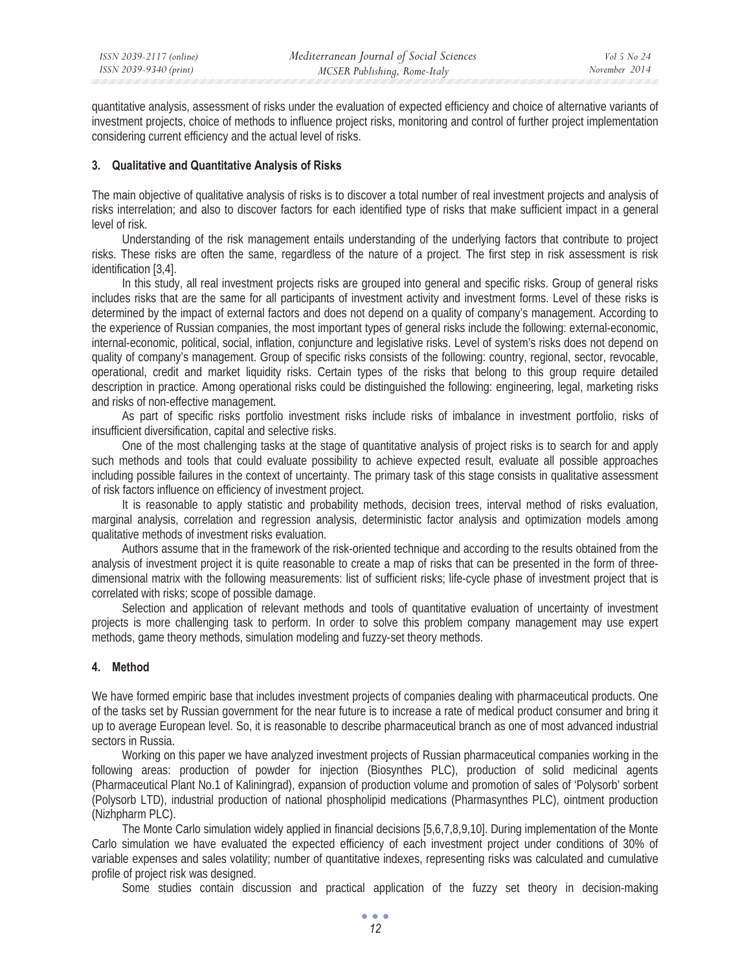quantitative analysis, assessment of risks under the evaluation of expected efficiency and choice of alternative variants of investment projects, choice of methods to influence project risks, monitoring and control of further project implementation considering current efficiency and the actual level of risks.

# **3. Qualitative and Quantitative Analysis of Risks**

The main objective of qualitative analysis of risks is to discover a total number of real investment projects and analysis of risks interrelation; and also to discover factors for each identified type of risks that make sufficient impact in a general level of risk.

Understanding of the risk management entails understanding of the underlying factors that contribute to project risks. These risks are often the same, regardless of the nature of a project. The first step in risk assessment is risk identification [3,4].

In this study, all real investment projects risks are grouped into general and specific risks. Group of general risks includes risks that are the same for all participants of investment activity and investment forms. Level of these risks is determined by the impact of external factors and does not depend on a quality of company's management. According to the experience of Russian companies, the most important types of general risks include the following: external-economic, internal-economic, political, social, inflation, conjuncture and legislative risks. Level of system's risks does not depend on quality of company's management. Group of specific risks consists of the following: country, regional, sector, revocable, operational, credit and market liquidity risks. Certain types of the risks that belong to this group require detailed description in practice. Among operational risks could be distinguished the following: engineering, legal, marketing risks and risks of non-effective management.

As part of specific risks portfolio investment risks include risks of imbalance in investment portfolio, risks of insufficient diversification, capital and selective risks.

One of the most challenging tasks at the stage of quantitative analysis of project risks is to search for and apply such methods and tools that could evaluate possibility to achieve expected result, evaluate all possible approaches including possible failures in the context of uncertainty. The primary task of this stage consists in qualitative assessment of risk factors influence on efficiency of investment project.

It is reasonable to apply statistic and probability methods, decision trees, interval method of risks evaluation, marginal analysis, correlation and regression analysis, deterministic factor analysis and optimization models among qualitative methods of investment risks evaluation.

Authors assume that in the framework of the risk-oriented technique and according to the results obtained from the analysis of investment project it is quite reasonable to create a map of risks that can be presented in the form of threedimensional matrix with the following measurements: list of sufficient risks; life-cycle phase of investment project that is correlated with risks; scope of possible damage.

Selection and application of relevant methods and tools of quantitative evaluation of uncertainty of investment projects is more challenging task to perform. In order to solve this problem company management may use expert methods, game theory methods, simulation modeling and fuzzy-set theory methods.

# **4. Method**

We have formed empiric base that includes investment projects of companies dealing with pharmaceutical products. One of the tasks set by Russian government for the near future is to increase a rate of medical product consumer and bring it up to average European level. So, it is reasonable to describe pharmaceutical branch as one of most advanced industrial sectors in Russia.

Working on this paper we have analyzed investment projects of Russian pharmaceutical companies working in the following areas: production of powder for injection (Biosynthes PLC), production of solid medicinal agents (Pharmaceutical Plant No.1 of Kaliningrad), expansion of production volume and promotion of sales of 'Polysorb' sorbent (Polysorb LTD), industrial production of national phospholipid medications (Pharmasynthes PLC), ointment production (Nizhpharm PLC).

The Monte Carlo simulation widely applied in financial decisions [5,6,7,8,9,10]. During implementation of the Monte Carlo simulation we have evaluated the expected efficiency of each investment project under conditions of 30% of variable expenses and sales volatility; number of quantitative indexes, representing risks was calculated and cumulative profile of project risk was designed.

Some studies contain discussion and practical application of the fuzzy set theory in decision-making

 $\bullet$   $\bullet$   $\bullet$ *12*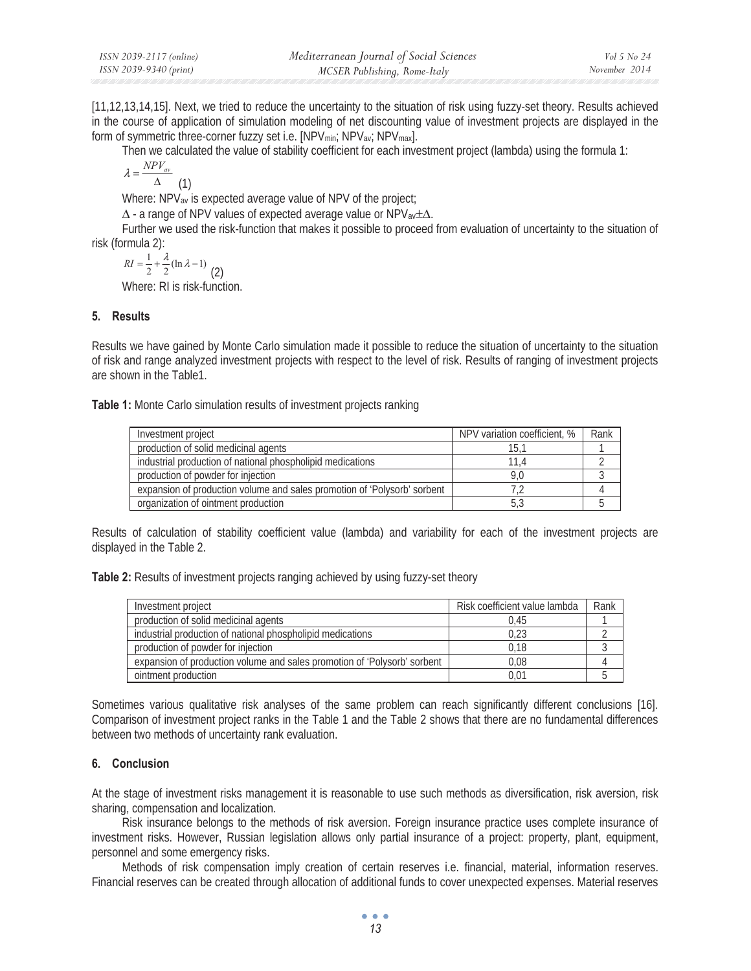| ISSN 2039-2117 (online) | Mediterranean Journal of Social Sciences | $Vol_5$ No 24 |
|-------------------------|------------------------------------------|---------------|
| ISSN 2039-9340 (print)  | MCSER Publishing, Rome-Italy             | November 2014 |

[11,12,13,14,15]. Next, we tried to reduce the uncertainty to the situation of risk using fuzzy-set theory. Results achieved in the course of application of simulation modeling of net discounting value of investment projects are displayed in the form of symmetric three-corner fuzzy set i.e. [NPV<sub>min</sub>; NPV<sub>av</sub>; NPV<sub>max</sub>].

Then we calculated the value of stability coefficient for each investment project (lambda) using the formula 1:

$$
\lambda = \frac{NPV_{av}}{\Delta} \tag{1}
$$

Where: NPV<sub>av</sub> is expected average value of NPV of the project;

 $\Delta$  - a range of NPV values of expected average value or NPV<sub>av</sub> $\pm \Delta$ .

Further we used the risk-function that makes it possible to proceed from evaluation of uncertainty to the situation of risk (formula 2):

$$
RI = \frac{1}{2} + \frac{\lambda}{2} (\ln \lambda - 1) \tag{2}
$$

Where: RI is risk-function.

## **5. Results**

Results we have gained by Monte Carlo simulation made it possible to reduce the situation of uncertainty to the situation of risk and range analyzed investment projects with respect to the level of risk. Results of ranging of investment projects are shown in the Table1.

**Table 1:** Monte Carlo simulation results of investment projects ranking

| Investment project                                                       | NPV variation coefficient, % | Rank |
|--------------------------------------------------------------------------|------------------------------|------|
| production of solid medicinal agents                                     | 15.1                         |      |
| industrial production of national phospholipid medications               | 11 4                         |      |
| production of powder for injection                                       |                              |      |
| expansion of production volume and sales promotion of 'Polysorb' sorbent |                              |      |
| organization of ointment production                                      | 5.3                          |      |

Results of calculation of stability coefficient value (lambda) and variability for each of the investment projects are displayed in the Table 2.

**Table 2:** Results of investment projects ranging achieved by using fuzzy-set theory

| Investment project                                                       | Risk coefficient value lambda | Rank |
|--------------------------------------------------------------------------|-------------------------------|------|
| production of solid medicinal agents                                     | 0.45                          |      |
| industrial production of national phospholipid medications               | 0.23                          |      |
| production of powder for injection                                       | 0.18                          |      |
| expansion of production volume and sales promotion of 'Polysorb' sorbent | 0.08                          |      |
| ointment production                                                      | 0.01                          |      |

Sometimes various qualitative risk analyses of the same problem can reach significantly different conclusions [16]. Comparison of investment project ranks in the Table 1 and the Table 2 shows that there are no fundamental differences between two methods of uncertainty rank evaluation.

## **6. Conclusion**

At the stage of investment risks management it is reasonable to use such methods as diversification, risk aversion, risk sharing, compensation and localization.

Risk insurance belongs to the methods of risk aversion. Foreign insurance practice uses complete insurance of investment risks. However, Russian legislation allows only partial insurance of a project: property, plant, equipment, personnel and some emergency risks.

Methods of risk compensation imply creation of certain reserves i.e. financial, material, information reserves. Financial reserves can be created through allocation of additional funds to cover unexpected expenses. Material reserves